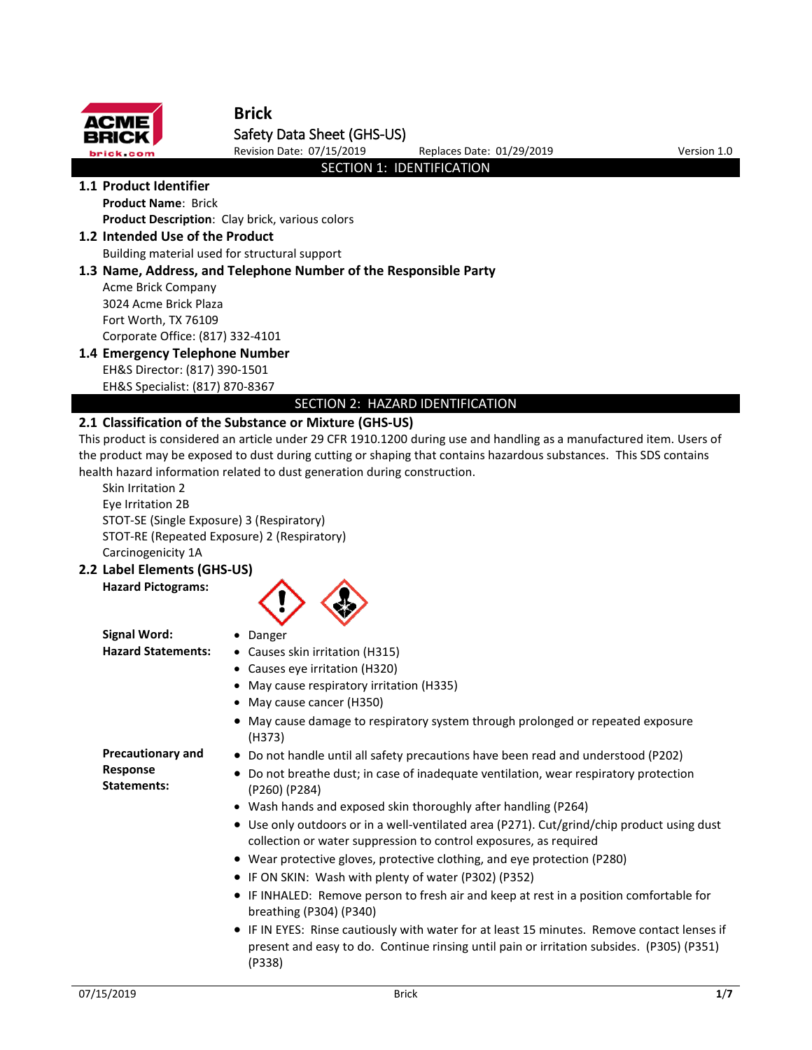

# **Brick** Safety Data Sheet (GHS-US)

Revision Date: 07/15/2019 Replaces Date: 01/29/2019 Version 1.0

## SECTION 1: IDENTIFICATION

**1.1 Product Identifier Product Name**: Brick

**Product Description**: Clay brick, various colors

**1.2 Intended Use of the Product**

Building material used for structural support

# **1.3 Name, Address, and Telephone Number of the Responsible Party**

Acme Brick Company 3024 Acme Brick Plaza Fort Worth, TX 76109 Corporate Office: (817) 332-4101

# **1.4 Emergency Telephone Number**

EH&S Director: (817) 390-1501 EH&S Specialist: (817) 870-8367

SECTION 2: HAZARD IDENTIFICATION

# **2.1 Classification of the Substance or Mixture (GHS-US)**

This product is considered an article under 29 CFR 1910.1200 during use and handling as a manufactured item. Users of the product may be exposed to dust during cutting or shaping that contains hazardous substances. This SDS contains health hazard information related to dust generation during construction.

Skin Irritation 2 Eye Irritation 2B STOT-SE (Single Exposure) 3 (Respiratory) STOT-RE (Repeated Exposure) 2 (Respiratory) Carcinogenicity 1A

**2.2 Label Elements (GHS-US)**

# **Hazard Pictograms:**



**Signal Word:** • Danger **Hazard Statements:** • Causes skin irritation (H315)

- 
- Causes eye irritation (H320)
- May cause respiratory irritation (H335)
- May cause cancer (H350)
- May cause damage to respiratory system through prolonged or repeated exposure (H373)

**Precautionary and Response Statements:**

- Do not handle until all safety precautions have been read and understood (P202)
- Do not breathe dust; in case of inadequate ventilation, wear respiratory protection (P260) (P284)
- Wash hands and exposed skin thoroughly after handling (P264)
- Use only outdoors or in a well-ventilated area (P271). Cut/grind/chip product using dust collection or water suppression to control exposures, as required
- Wear protective gloves, protective clothing, and eye protection (P280)
- IF ON SKIN: Wash with plenty of water (P302) (P352)
- IF INHALED: Remove person to fresh air and keep at rest in a position comfortable for breathing (P304) (P340)
- IF IN EYES: Rinse cautiously with water for at least 15 minutes. Remove contact lenses if present and easy to do. Continue rinsing until pain or irritation subsides. (P305) (P351) (P338)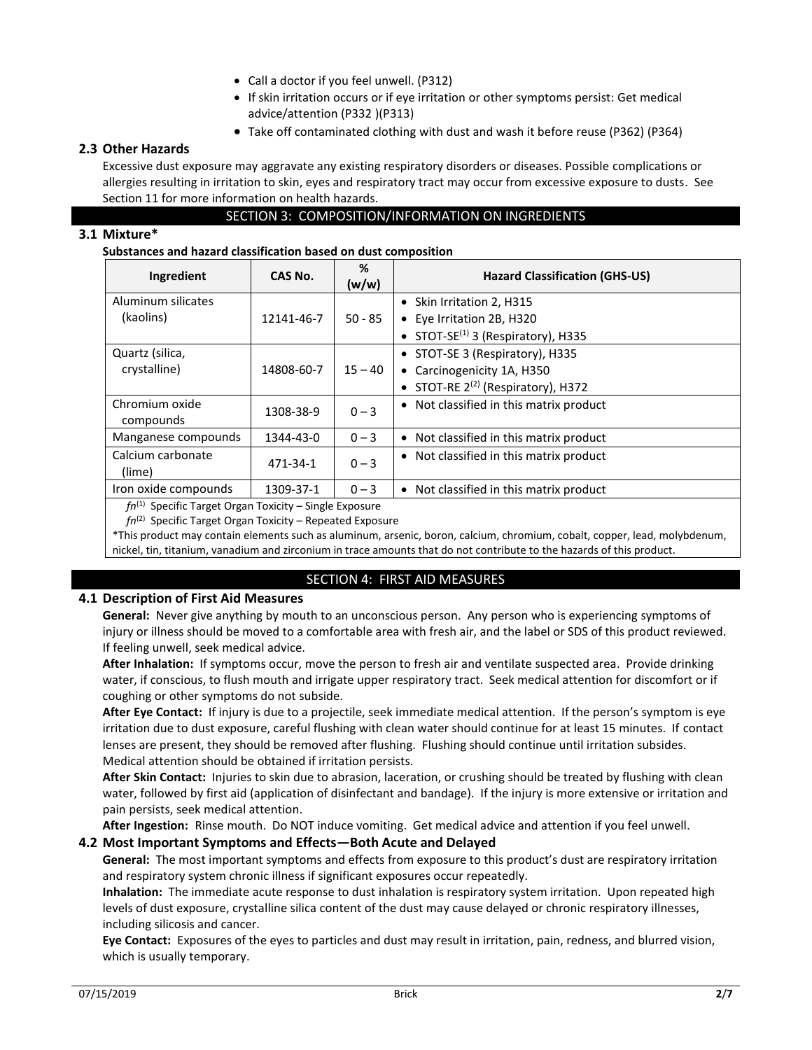- Call a doctor if you feel unwell. (P312)
- If skin irritation occurs or if eye irritation or other symptoms persist: Get medical advice/attention (P332 )(P313)
- Take off contaminated clothing with dust and wash it before reuse (P362) (P364)

### **2.3 Other Hazards**

Excessive dust exposure may aggravate any existing respiratory disorders or diseases. Possible complications or allergies resulting in irritation to skin, eyes and respiratory tract may occur from excessive exposure to dusts. See Section 11 for more information on health hazards.

### SECTION 3: COMPOSITION/INFORMATION ON INGREDIENTS

### **3.1 Mixture\***

### **Substances and hazard classification based on dust composition**

| Ingredient                                                  | CAS No.    | %<br>(w/w) | <b>Hazard Classification (GHS-US)</b>              |
|-------------------------------------------------------------|------------|------------|----------------------------------------------------|
| Aluminum silicates                                          |            |            | • Skin Irritation 2, H315                          |
| (kaolins)                                                   | 12141-46-7 | $50 - 85$  | Eye Irritation 2B, H320<br>$\bullet$               |
|                                                             |            |            | • STOT-SE <sup>(1)</sup> 3 (Respiratory), H335     |
| Quartz (silica,                                             |            |            | • STOT-SE 3 (Respiratory), H335                    |
| crystalline)                                                | 14808-60-7 | $15 - 40$  | • Carcinogenicity 1A, H350                         |
|                                                             |            |            | • STOT-RE $2^{(2)}$ (Respiratory), H372            |
| Chromium oxide                                              | 1308-38-9  | $0 - 3$    | Not classified in this matrix product<br>$\bullet$ |
| compounds                                                   |            |            |                                                    |
| Manganese compounds                                         | 1344-43-0  | $0 - 3$    | Not classified in this matrix product<br>$\bullet$ |
| Calcium carbonate                                           | 471-34-1   | $0 - 3$    | • Not classified in this matrix product            |
| (lime)                                                      |            |            |                                                    |
| Iron oxide compounds                                        | 1309-37-1  | $0 - 3$    | Not classified in this matrix product<br>$\bullet$ |
| $fn^{(1)}$ Specific Target Organ Toxicity – Single Exposure |            |            |                                                    |

*fn*(1) Specific Target Organ Toxicity – Single Exposure

*fn*(2) Specific Target Organ Toxicity – Repeated Exposure

\*This product may contain elements such as aluminum, arsenic, boron, calcium, chromium, cobalt, copper, lead, molybdenum, nickel, tin, titanium, vanadium and zirconium in trace amounts that do not contribute to the hazards of this product.

# SECTION 4: FIRST AID MEASURES

### **4.1 Description of First Aid Measures**

**General:** Never give anything by mouth to an unconscious person. Any person who is experiencing symptoms of injury or illness should be moved to a comfortable area with fresh air, and the label or SDS of this product reviewed. If feeling unwell, seek medical advice.

**After Inhalation:** If symptoms occur, move the person to fresh air and ventilate suspected area. Provide drinking water, if conscious, to flush mouth and irrigate upper respiratory tract. Seek medical attention for discomfort or if coughing or other symptoms do not subside.

**After Eye Contact:** If injury is due to a projectile, seek immediate medical attention. If the person's symptom is eye irritation due to dust exposure, careful flushing with clean water should continue for at least 15 minutes. If contact lenses are present, they should be removed after flushing. Flushing should continue until irritation subsides. Medical attention should be obtained if irritation persists.

**After Skin Contact:** Injuries to skin due to abrasion, laceration, or crushing should be treated by flushing with clean water, followed by first aid (application of disinfectant and bandage). If the injury is more extensive or irritation and pain persists, seek medical attention.

**After Ingestion:** Rinse mouth. Do NOT induce vomiting. Get medical advice and attention if you feel unwell.

# **4.2 Most Important Symptoms and Effects—Both Acute and Delayed**

**General:** The most important symptoms and effects from exposure to this product's dust are respiratory irritation and respiratory system chronic illness if significant exposures occur repeatedly.

**Inhalation:** The immediate acute response to dust inhalation is respiratory system irritation. Upon repeated high levels of dust exposure, crystalline silica content of the dust may cause delayed or chronic respiratory illnesses, including silicosis and cancer.

**Eye Contact:** Exposures of the eyes to particles and dust may result in irritation, pain, redness, and blurred vision, which is usually temporary.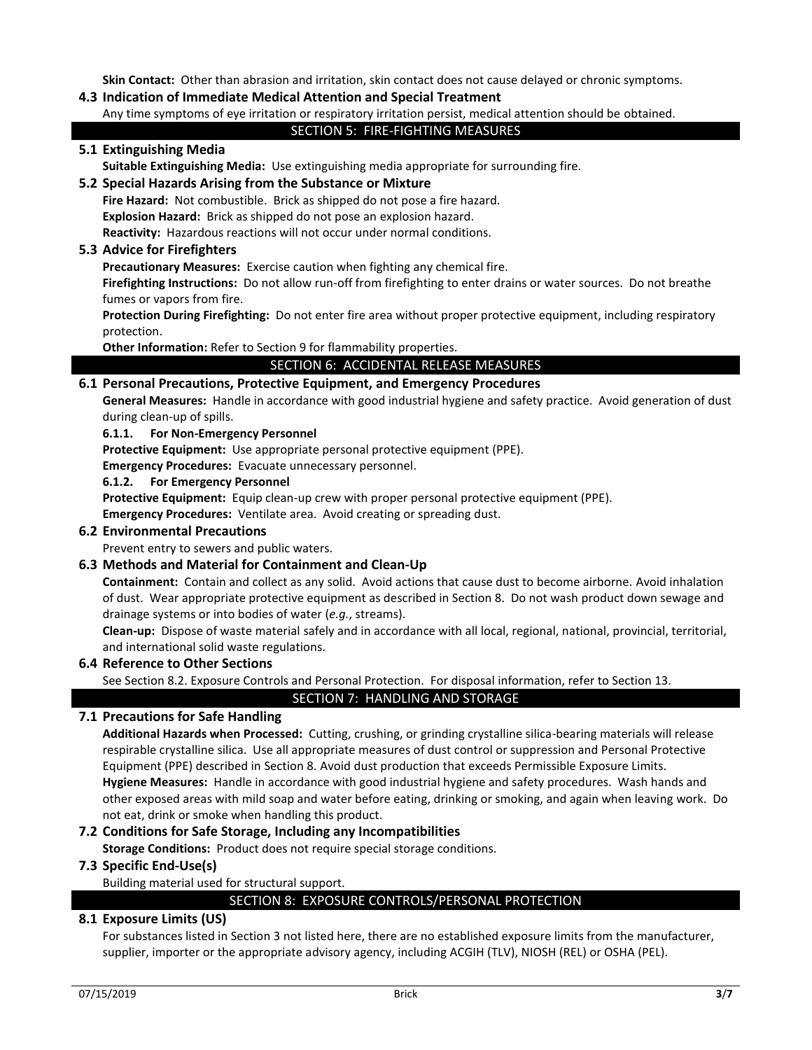**Skin Contact:** Other than abrasion and irritation, skin contact does not cause delayed or chronic symptoms.

### **4.3 Indication of Immediate Medical Attention and Special Treatment**

#### Any time symptoms of eye irritation or respiratory irritation persist, medical attention should be obtained.

### SECTION 5: FIRE-FIGHTING MEASURES

### **5.1 Extinguishing Media**

**Suitable Extinguishing Media:** Use extinguishing media appropriate for surrounding fire.

### **5.2 Special Hazards Arising from the Substance or Mixture**

**Fire Hazard:** Not combustible. Brick as shipped do not pose a fire hazard. **Explosion Hazard:** Brick as shipped do not pose an explosion hazard. **Reactivity:** Hazardous reactions will not occur under normal conditions.

#### **5.3 Advice for Firefighters**

**Precautionary Measures:** Exercise caution when fighting any chemical fire.

**Firefighting Instructions:** Do not allow run-off from firefighting to enter drains or water sources. Do not breathe fumes or vapors from fire.

**Protection During Firefighting:** Do not enter fire area without proper protective equipment, including respiratory protection.

**Other Information:** Refer to Section 9 for flammability properties.

#### SECTION 6: ACCIDENTAL RELEASE MEASURES

### **6.1 Personal Precautions, Protective Equipment, and Emergency Procedures**

**General Measures:** Handle in accordance with good industrial hygiene and safety practice. Avoid generation of dust during clean-up of spills.

### **6.1.1. For Non-Emergency Personnel**

**Protective Equipment:** Use appropriate personal protective equipment (PPE).

**Emergency Procedures:** Evacuate unnecessary personnel.

- **6.1.2. For Emergency Personnel**
- Protective Equipment: Equip clean-up crew with proper personal protective equipment (PPE).

**Emergency Procedures:** Ventilate area. Avoid creating or spreading dust.

### **6.2 Environmental Precautions**

Prevent entry to sewers and public waters.

### **6.3 Methods and Material for Containment and Clean-Up**

**Containment:** Contain and collect as any solid. Avoid actions that cause dust to become airborne. Avoid inhalation of dust. Wear appropriate protective equipment as described in Section 8. Do not wash product down sewage and drainage systems or into bodies of water (*e.g.*, streams).

**Clean-up:** Dispose of waste material safely and in accordance with all local, regional, national, provincial, territorial, and international solid waste regulations.

### **6.4 Reference to Other Sections**

See Section 8.2. Exposure Controls and Personal Protection. For disposal information, refer to Section 13.

### SECTION 7: HANDLING AND STORAGE

### **7.1 Precautions for Safe Handling**

**Additional Hazards when Processed:** Cutting, crushing, or grinding crystalline silica-bearing materials will release respirable crystalline silica. Use all appropriate measures of dust control or suppression and Personal Protective Equipment (PPE) described in Section 8. Avoid dust production that exceeds Permissible Exposure Limits. **Hygiene Measures:** Handle in accordance with good industrial hygiene and safety procedures. Wash hands and other exposed areas with mild soap and water before eating, drinking or smoking, and again when leaving work. Do not eat, drink or smoke when handling this product.

### **7.2 Conditions for Safe Storage, Including any Incompatibilities**

**Storage Conditions:** Product does not require special storage conditions.

### **7.3 Specific End-Use(s)**

Building material used for structural support.

### SECTION 8: EXPOSURE CONTROLS/PERSONAL PROTECTION

### **8.1 Exposure Limits (US)**

For substances listed in Section 3 not listed here, there are no established exposure limits from the manufacturer, supplier, importer or the appropriate advisory agency, including ACGIH (TLV), NIOSH (REL) or OSHA (PEL).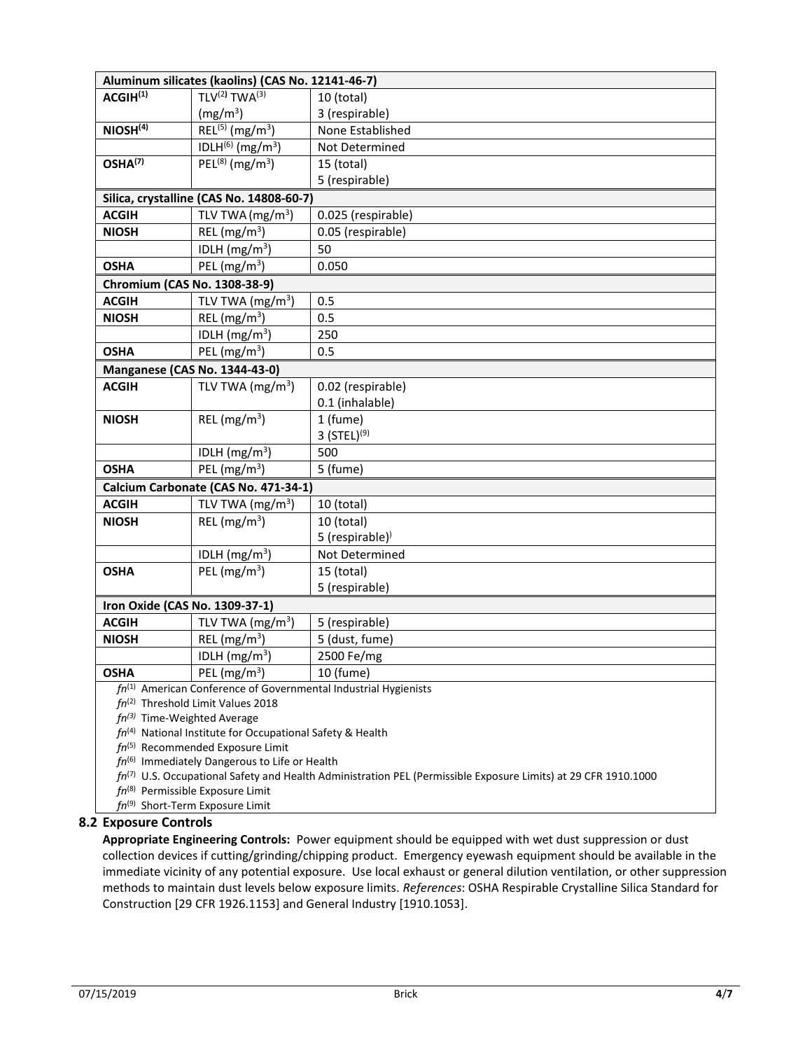|                                                                                                                     | Aluminum silicates (kaolins) (CAS No. 12141-46-7) |                                                                       |  |  |
|---------------------------------------------------------------------------------------------------------------------|---------------------------------------------------|-----------------------------------------------------------------------|--|--|
| ACGIH <sup>(1)</sup>                                                                                                | TLV <sup>(2)</sup> TWA <sup>(3)</sup>             | 10 (total)                                                            |  |  |
|                                                                                                                     | (mg/m <sup>3</sup> )                              | 3 (respirable)                                                        |  |  |
| NIOSH <sup>(4)</sup>                                                                                                | $REL^{(5)}$ (mg/m <sup>3</sup> )                  | None Established                                                      |  |  |
|                                                                                                                     | IDLH(6) (mg/m <sup>3</sup> )                      | Not Determined                                                        |  |  |
| OSHA <sup>(7)</sup>                                                                                                 | $PEL^{(8)}$ (mg/m <sup>3</sup> )                  | 15 (total)                                                            |  |  |
|                                                                                                                     |                                                   | 5 (respirable)                                                        |  |  |
|                                                                                                                     | Silica, crystalline (CAS No. 14808-60-7)          |                                                                       |  |  |
| <b>ACGIH</b>                                                                                                        | TLV TWA $(mg/m3)$                                 | 0.025 (respirable)                                                    |  |  |
| <b>NIOSH</b>                                                                                                        | REL ( $mg/m3$ )                                   | 0.05 (respirable)                                                     |  |  |
|                                                                                                                     | IDLH $(mg/m3)$                                    | 50                                                                    |  |  |
| <b>OSHA</b>                                                                                                         | PEL ( $mg/m3$ )                                   | 0.050                                                                 |  |  |
| Chromium (CAS No. 1308-38-9)                                                                                        |                                                   |                                                                       |  |  |
| <b>ACGIH</b>                                                                                                        | TLV TWA $(mg/m3)$                                 | 0.5                                                                   |  |  |
| <b>NIOSH</b>                                                                                                        | REL ( $mg/m3$ )                                   | 0.5                                                                   |  |  |
|                                                                                                                     | IDLH $(mg/m3)$                                    | 250                                                                   |  |  |
| <b>OSHA</b>                                                                                                         | PEL $(mg/m^3)$                                    | 0.5                                                                   |  |  |
|                                                                                                                     | <b>Manganese (CAS No. 1344-43-0)</b>              |                                                                       |  |  |
| <b>ACGIH</b>                                                                                                        | TLV TWA $(mg/m3)$                                 | 0.02 (respirable)                                                     |  |  |
|                                                                                                                     |                                                   | 0.1 (inhalable)                                                       |  |  |
| <b>NIOSH</b>                                                                                                        | REL ( $mg/m3$ )                                   | 1 (fume)                                                              |  |  |
|                                                                                                                     |                                                   | 3 $(STEL)^{(9)}$                                                      |  |  |
|                                                                                                                     | IDLH $(mg/m3)$                                    | 500                                                                   |  |  |
| <b>OSHA</b>                                                                                                         | PEL ( $mg/m3$ )                                   | 5 (fume)                                                              |  |  |
|                                                                                                                     | Calcium Carbonate (CAS No. 471-34-1)              |                                                                       |  |  |
| <b>ACGIH</b>                                                                                                        | TLV TWA $(mg/m3)$                                 | 10 (total)                                                            |  |  |
| <b>NIOSH</b>                                                                                                        | REL ( $mg/m3$ )                                   | 10 (total)                                                            |  |  |
|                                                                                                                     |                                                   | 5 (respirable) $^{\prime}$                                            |  |  |
|                                                                                                                     | IDLH $(mg/m3)$                                    | Not Determined                                                        |  |  |
| <b>OSHA</b>                                                                                                         | PEL $(mg/m^3)$                                    | 15 (total)                                                            |  |  |
|                                                                                                                     |                                                   | 5 (respirable)                                                        |  |  |
| Iron Oxide (CAS No. 1309-37-1)                                                                                      |                                                   |                                                                       |  |  |
| <b>ACGIH</b>                                                                                                        | TLV TWA $(mg/m3)$                                 | 5 (respirable)                                                        |  |  |
| <b>NIOSH</b>                                                                                                        | REL $(mg/m^3)$                                    | 5 (dust, fume)                                                        |  |  |
|                                                                                                                     | IDLH $(mg/m^3)$                                   | 2500 Fe/mg                                                            |  |  |
| <b>OSHA</b>                                                                                                         | PEL $(mg/m^3)$                                    | 10 (fume)                                                             |  |  |
|                                                                                                                     |                                                   | $f n^{(1)}$ American Conference of Governmental Industrial Hygienists |  |  |
| $fn^{(2)}$ Threshold Limit Values 2018                                                                              |                                                   |                                                                       |  |  |
| $fn^{(3)}$ Time-Weighted Average<br>$fn^{(4)}$ National Institute for Occupational Safety & Health                  |                                                   |                                                                       |  |  |
| $fn^{(5)}$ Recommended Exposure Limit                                                                               |                                                   |                                                                       |  |  |
| $fn^{(6)}$ Immediately Dangerous to Life or Health                                                                  |                                                   |                                                                       |  |  |
| $fn^{(7)}$ U.S. Occupational Safety and Health Administration PEL (Permissible Exposure Limits) at 29 CFR 1910.1000 |                                                   |                                                                       |  |  |
| $fn^{(8)}$ Permissible Exposure Limit                                                                               |                                                   |                                                                       |  |  |
| fn <sup>(9)</sup> Short-Term Exposure Limit                                                                         |                                                   |                                                                       |  |  |

### **8.2 Exposure Controls**

**Appropriate Engineering Controls:** Power equipment should be equipped with wet dust suppression or dust collection devices if cutting/grinding/chipping product. Emergency eyewash equipment should be available in the immediate vicinity of any potential exposure. Use local exhaust or general dilution ventilation, or other suppression methods to maintain dust levels below exposure limits. *References*: OSHA Respirable Crystalline Silica Standard for Construction [29 CFR 1926.1153] and General Industry [1910.1053].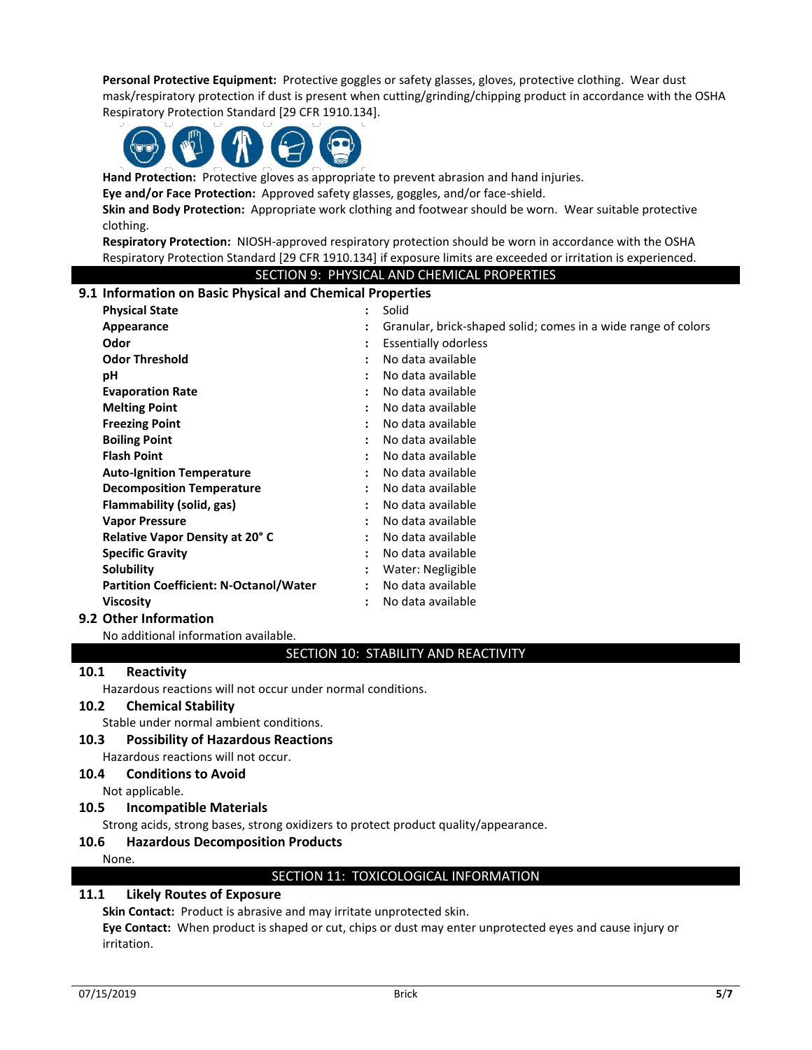**Personal Protective Equipment:** Protective goggles or safety glasses, gloves, protective clothing. Wear dust mask/respiratory protection if dust is present when cutting/grinding/chipping product in accordance with the OSHA Respiratory Protection Standard [29 CFR 1910.134].



**Hand Protection:** Protective gloves as appropriate to prevent abrasion and hand injuries.

**Eye and/or Face Protection:** Approved safety glasses, goggles, and/or face-shield.

**Skin and Body Protection:** Appropriate work clothing and footwear should be worn. Wear suitable protective clothing.

**Respiratory Protection:** NIOSH-approved respiratory protection should be worn in accordance with the OSHA Respiratory Protection Standard [29 CFR 1910.134] if exposure limits are exceeded or irritation is experienced.

### SECTION 9: PHYSICAL AND CHEMICAL PROPERTIES

#### **9.1 Information on Basic Physical and Chemical Properties**

| <b>Physical State</b>                         | ÷                    | Solid                                                         |
|-----------------------------------------------|----------------------|---------------------------------------------------------------|
| Appearance                                    |                      | Granular, brick-shaped solid; comes in a wide range of colors |
| Odor                                          | ٠                    | <b>Essentially odorless</b>                                   |
| <b>Odor Threshold</b>                         | ٠                    | No data available                                             |
| рH                                            | ٠                    | No data available                                             |
| <b>Evaporation Rate</b>                       | ٠                    | No data available                                             |
| <b>Melting Point</b>                          | ٠                    | No data available                                             |
| <b>Freezing Point</b>                         | ÷                    | No data available                                             |
| <b>Boiling Point</b>                          | ٠                    | No data available                                             |
| <b>Flash Point</b>                            | ٠                    | No data available                                             |
| <b>Auto-Ignition Temperature</b>              | ٠                    | No data available                                             |
| <b>Decomposition Temperature</b>              | ÷                    | No data available                                             |
| Flammability (solid, gas)                     | $\ddot{\phantom{a}}$ | No data available                                             |
| <b>Vapor Pressure</b>                         | ÷                    | No data available                                             |
| Relative Vapor Density at 20°C                | ٠                    | No data available                                             |
| <b>Specific Gravity</b>                       | $\ddot{\cdot}$       | No data available                                             |
| Solubility                                    | $\ddot{\phantom{a}}$ | Water: Negligible                                             |
| <b>Partition Coefficient: N-Octanol/Water</b> | $\ddot{\cdot}$       | No data available                                             |
| <b>Viscosity</b>                              | ٠                    | No data available                                             |

### **9.2 Other Information**

No additional information available.

### SECTION 10: STABILITY AND REACTIVITY

#### **10.1 Reactivity**

Hazardous reactions will not occur under normal conditions.

### **10.2 Chemical Stability**

Stable under normal ambient conditions.

# **10.3 Possibility of Hazardous Reactions**

# Hazardous reactions will not occur.

# **10.4 Conditions to Avoid**

Not applicable.

#### **10.5 Incompatible Materials**

Strong acids, strong bases, strong oxidizers to protect product quality/appearance.

#### **10.6 Hazardous Decomposition Products**

#### None.

SECTION 11: TOXICOLOGICAL INFORMATION

### **11.1 Likely Routes of Exposure**

**Skin Contact:** Product is abrasive and may irritate unprotected skin.

**Eye Contact:** When product is shaped or cut, chips or dust may enter unprotected eyes and cause injury or irritation.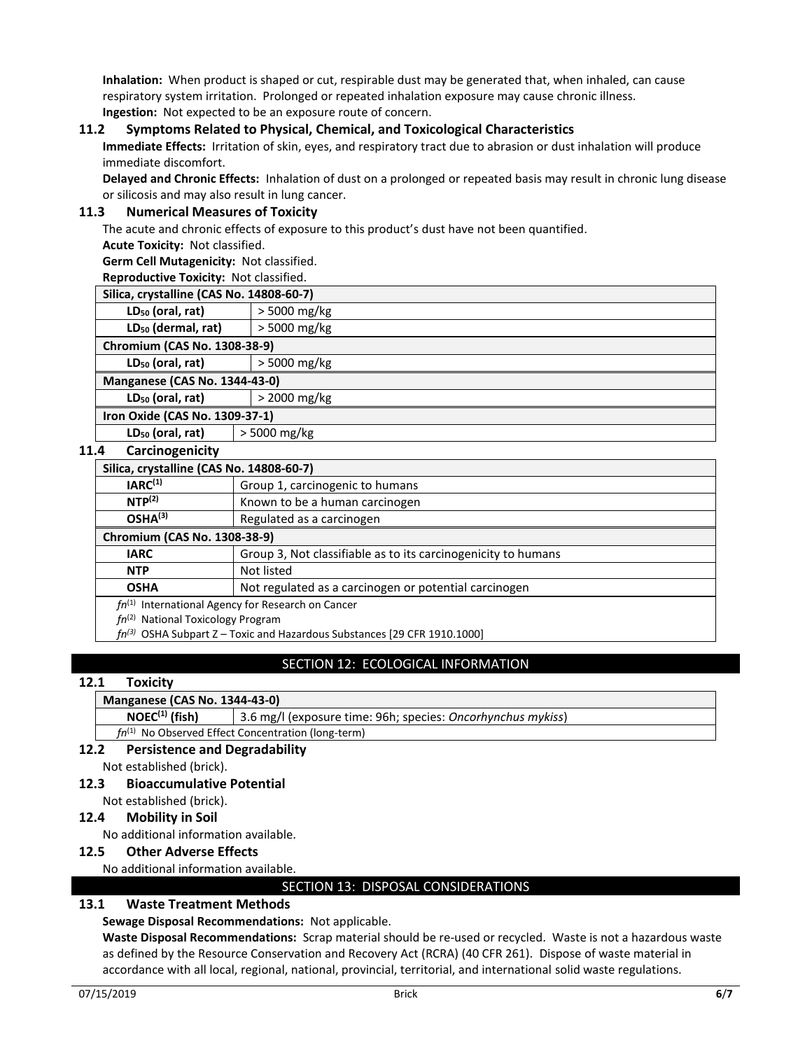**Inhalation:** When product is shaped or cut, respirable dust may be generated that, when inhaled, can cause respiratory system irritation. Prolonged or repeated inhalation exposure may cause chronic illness. **Ingestion:** Not expected to be an exposure route of concern.

### **11.2 Symptoms Related to Physical, Chemical, and Toxicological Characteristics**

**Immediate Effects:** Irritation of skin, eyes, and respiratory tract due to abrasion or dust inhalation will produce immediate discomfort.

**Delayed and Chronic Effects:** Inhalation of dust on a prolonged or repeated basis may result in chronic lung disease or silicosis and may also result in lung cancer.

### **11.3 Numerical Measures of Toxicity**

The acute and chronic effects of exposure to this product's dust have not been quantified.

**Acute Toxicity:** Not classified.

**Germ Cell Mutagenicity:** Not classified.

**Reproductive Toxicity:** Not classified.

| Silica, crystalline (CAS No. 14808-60-7) |                |  |
|------------------------------------------|----------------|--|
| LD <sub>50</sub> (oral, rat)             | $>$ 5000 mg/kg |  |
| LD <sub>50</sub> (dermal, rat)           | > 5000 mg/kg   |  |
| Chromium (CAS No. 1308-38-9)             |                |  |
| LD <sub>50</sub> (oral, rat)             | $>$ 5000 mg/kg |  |
| <b>Manganese (CAS No. 1344-43-0)</b>     |                |  |
| LD <sub>50</sub> (oral, rat)             | $>$ 2000 mg/kg |  |
| Iron Oxide (CAS No. 1309-37-1)           |                |  |
| LD <sub>50</sub> (oral, rat)             | > 5000 mg/kg   |  |

#### **11.4 Carcinogenicity**

| Silica, crystalline (CAS No. 14808-60-7)                                      |                                                               |  |
|-------------------------------------------------------------------------------|---------------------------------------------------------------|--|
| IARC <sup>(1)</sup>                                                           | Group 1, carcinogenic to humans                               |  |
| NTP <sup>(2)</sup>                                                            | Known to be a human carcinogen                                |  |
| OSHA <sup>(3)</sup>                                                           | Regulated as a carcinogen                                     |  |
| Chromium (CAS No. 1308-38-9)                                                  |                                                               |  |
| <b>IARC</b>                                                                   | Group 3, Not classifiable as to its carcinogenicity to humans |  |
| <b>NTP</b>                                                                    | Not listed                                                    |  |
| <b>OSHA</b>                                                                   | Not regulated as a carcinogen or potential carcinogen         |  |
| $fn^{(1)}$ International Agency for Research on Cancer                        |                                                               |  |
| $fn^{(2)}$ National Toxicology Program                                        |                                                               |  |
| $fn^{(3)}$ OSHA Subpart Z – Toxic and Hazardous Substances [29 CFR 1910.1000] |                                                               |  |

# **SECTION 12: ECOLOGICAL INFORMATION**

### **12.1 Toxicity**

### **Manganese (CAS No. 1344-43-0)**

**NOEC (1) (fish)** 3.6 mg/l (exposure time: 96h; species: *Oncorhynchus mykiss*)

*fn*(1) No Observed Effect Concentration (long-term)

# **12.2 Persistence and Degradability**

Not established (brick).

### **12.3 Bioaccumulative Potential**

Not established (brick).

### **12.4 Mobility in Soil**

No additional information available.

### **12.5 Other Adverse Effects**

No additional information available.

### SECTION 13: DISPOSAL CONSIDERATIONS

### **13.1 Waste Treatment Methods**

### **Sewage Disposal Recommendations:** Not applicable.

**Waste Disposal Recommendations:** Scrap material should be re-used or recycled. Waste is not a hazardous waste as defined by the Resource Conservation and Recovery Act (RCRA) (40 CFR 261). Dispose of waste material in accordance with all local, regional, national, provincial, territorial, and international solid waste regulations.